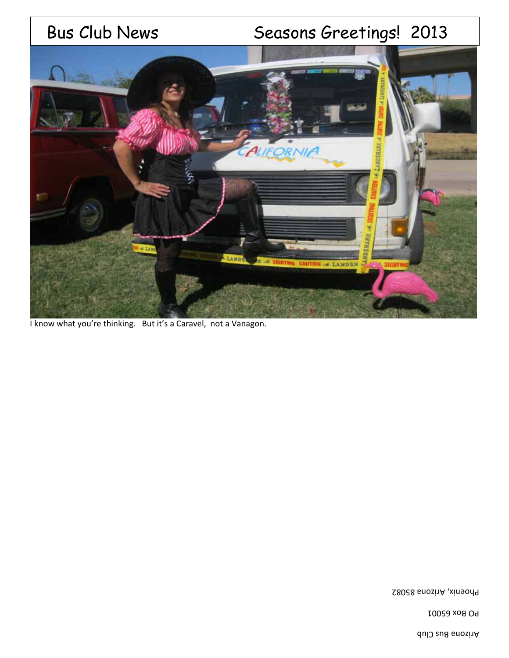# Bus Club News Seasons Greetings! 2013



I know what you're thinking. But it's a Caravel, not a Vanagon.

Phoenix, Arizona 85082

PO Box 65001

Arizona Bus Club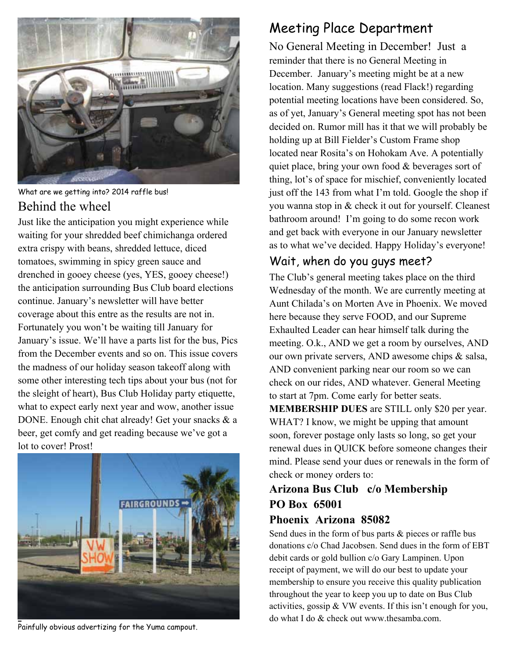

What are we getting into? 2014 raffle bus! Behind the wheel

Just like the anticipation you might experience while waiting for your shredded beef chimichanga ordered extra crispy with beans, shredded lettuce, diced tomatoes, swimming in spicy green sauce and drenched in gooey cheese (yes, YES, gooey cheese!) the anticipation surrounding Bus Club board elections continue. January's newsletter will have better coverage about this entre as the results are not in. Fortunately you won't be waiting till January for January's issue. We'll have a parts list for the bus, Pics from the December events and so on. This issue covers the madness of our holiday season takeoff along with some other interesting tech tips about your bus (not for the sleight of heart), Bus Club Holiday party etiquette, what to expect early next year and wow, another issue DONE. Enough chit chat already! Get your snacks & a beer, get comfy and get reading because we've got a lot to cover! Prost!



Painfully obvious advertizing for the Yuma campout.

## Meeting Place Department

No General Meeting in December! Just a reminder that there is no General Meeting in December. January's meeting might be at a new location. Many suggestions (read Flack!) regarding potential meeting locations have been considered. So, as of yet, January's General meeting spot has not been decided on. Rumor mill has it that we will probably be holding up at Bill Fielder's Custom Frame shop located near Rosita's on Hohokam Ave. A potentially quiet place, bring your own food & beverages sort of thing, lot's of space for mischief, conveniently located just off the 143 from what I'm told. Google the shop if you wanna stop in & check it out for yourself. Cleanest bathroom around! I'm going to do some recon work and get back with everyone in our January newsletter as to what we've decided. Happy Holiday's everyone!

#### Wait, when do you guys meet?

The Club's general meeting takes place on the third Wednesday of the month. We are currently meeting at Aunt Chilada's on Morten Ave in Phoenix. We moved here because they serve FOOD, and our Supreme Exhaulted Leader can hear himself talk during the meeting. O.k., AND we get a room by ourselves, AND our own private servers, AND awesome chips & salsa, AND convenient parking near our room so we can check on our rides, AND whatever. General Meeting to start at 7pm. Come early for better seats. **MEMBERSHIP DUES** are STILL only \$20 per year. WHAT? I know, we might be upping that amount soon, forever postage only lasts so long, so get your renewal dues in QUICK before someone changes their mind. Please send your dues or renewals in the form of check or money orders to:

#### **Arizona Bus Club c/o Membership PO Box 65001 Phoenix Arizona 85082**

Send dues in the form of bus parts & pieces or raffle bus donations c/o Chad Jacobsen. Send dues in the form of EBT debit cards or gold bullion c/o Gary Lampinen. Upon receipt of payment, we will do our best to update your membership to ensure you receive this quality publication throughout the year to keep you up to date on Bus Club activities, gossip & VW events. If this isn't enough for you, do what I do & check out www.thesamba.com.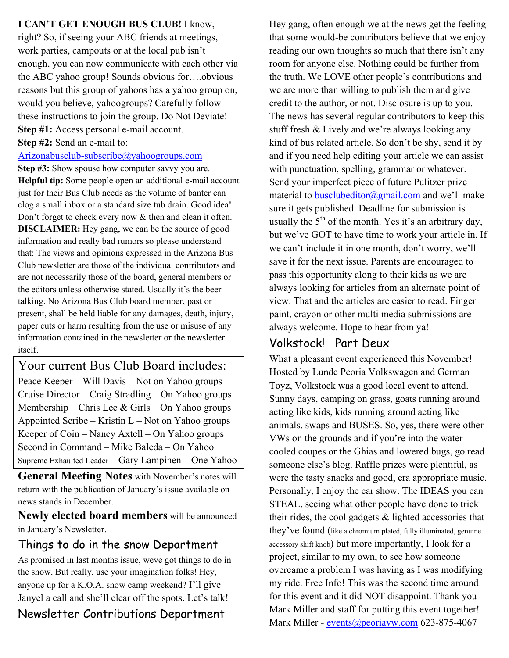**I CAN'T GET ENOUGH BUS CLUB!** I know,

right? So, if seeing your ABC friends at meetings, work parties, campouts or at the local pub isn't enough, you can now communicate with each other via the ABC yahoo group! Sounds obvious for….obvious reasons but this group of yahoos has a yahoo group on, would you believe, yahoogroups? Carefully follow these instructions to join the group. Do Not Deviate! **Step #1:** Access personal e-mail account. **Step #2:** Send an e-mail to:

Arizonabusclub-subscribe@yahoogroups.com

**Step #3:** Show spouse how computer savvy you are. **Helpful tip:** Some people open an additional e-mail account just for their Bus Club needs as the volume of banter can clog a small inbox or a standard size tub drain. Good idea! Don't forget to check every now & then and clean it often. **DISCLAIMER:** Hey gang, we can be the source of good information and really bad rumors so please understand that: The views and opinions expressed in the Arizona Bus Club newsletter are those of the individual contributors and are not necessarily those of the board, general members or the editors unless otherwise stated. Usually it's the beer talking. No Arizona Bus Club board member, past or present, shall be held liable for any damages, death, injury, paper cuts or harm resulting from the use or misuse of any information contained in the newsletter or the newsletter itself.

Your current Bus Club Board includes: Peace Keeper – Will Davis – Not on Yahoo groups Cruise Director – Craig Stradling – On Yahoo groups Membership – Chris Lee & Girls – On Yahoo groups Appointed Scribe – Kristin  $L$  – Not on Yahoo groups Keeper of Coin – Nancy Axtell – On Yahoo groups Second in Command – Mike Baleda – On Yahoo Supreme Exhaulted Leader – Gary Lampinen – One Yahoo

**General Meeting Notes** with November's notes will return with the publication of January's issue available on news stands in December.

**Newly elected board members** will be announced in January's Newsletter.

#### Things to do in the snow Department

As promised in last months issue, weve got things to do in the snow. But really, use your imagination folks! Hey, anyone up for a K.O.A. snow camp weekend? I'll give Janyel a call and she'll clear off the spots. Let's talk! Newsletter Contributions Department

Hey gang, often enough we at the news get the feeling that some would-be contributors believe that we enjoy reading our own thoughts so much that there isn't any room for anyone else. Nothing could be further from the truth. We LOVE other people's contributions and we are more than willing to publish them and give credit to the author, or not. Disclosure is up to you. The news has several regular contributors to keep this stuff fresh & Lively and we're always looking any kind of bus related article. So don't be shy, send it by and if you need help editing your article we can assist with punctuation, spelling, grammar or whatever. Send your imperfect piece of future Pulitzer prize material to busclubeditor@gmail.com and we'll make sure it gets published. Deadline for submission is usually the  $5<sup>th</sup>$  of the month. Yes it's an arbitrary day, but we've GOT to have time to work your article in. If we can't include it in one month, don't worry, we'll save it for the next issue. Parents are encouraged to pass this opportunity along to their kids as we are always looking for articles from an alternate point of view. That and the articles are easier to read. Finger paint, crayon or other multi media submissions are always welcome. Hope to hear from ya!

#### Volkstock! Part Deux

What a pleasant event experienced this November! Hosted by Lunde Peoria Volkswagen and German Toyz, Volkstock was a good local event to attend. Sunny days, camping on grass, goats running around acting like kids, kids running around acting like animals, swaps and BUSES. So, yes, there were other VWs on the grounds and if you're into the water cooled coupes or the Ghias and lowered bugs, go read someone else's blog. Raffle prizes were plentiful, as were the tasty snacks and good, era appropriate music. Personally, I enjoy the car show. The IDEAS you can STEAL, seeing what other people have done to trick their rides, the cool gadgets & lighted accessories that they've found (like a chromium plated, fully illuminated, genuine accessory shift knob) but more importantly, I look for a project, similar to my own, to see how someone overcame a problem I was having as I was modifying my ride. Free Info! This was the second time around for this event and it did NOT disappoint. Thank you Mark Miller and staff for putting this event together! Mark Miller - events@peoriavw.com 623-875-4067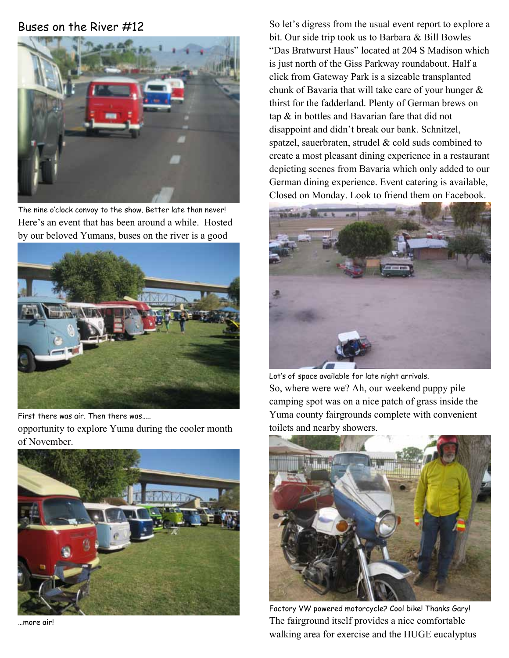#### Buses on the River #12



The nine o'clock convoy to the show. Better late than never! Here's an event that has been around a while. Hosted by our beloved Yumans, buses on the river is a good



First there was air. Then there was….. opportunity to explore Yuma during the cooler month of November.



…more air!

So let's digress from the usual event report to explore a bit. Our side trip took us to Barbara & Bill Bowles "Das Bratwurst Haus" located at 204 S Madison which is just north of the Giss Parkway roundabout. Half a click from Gateway Park is a sizeable transplanted chunk of Bavaria that will take care of your hunger & thirst for the fadderland. Plenty of German brews on tap & in bottles and Bavarian fare that did not disappoint and didn't break our bank. Schnitzel, spatzel, sauerbraten, strudel & cold suds combined to create a most pleasant dining experience in a restaurant depicting scenes from Bavaria which only added to our German dining experience. Event catering is available, Closed on Monday. Look to friend them on Facebook.



Lot's of space available for late night arrivals. So, where were we? Ah, our weekend puppy pile camping spot was on a nice patch of grass inside the Yuma county fairgrounds complete with convenient toilets and nearby showers.



Factory VW powered motorcycle? Cool bike! Thanks Gary! The fairground itself provides a nice comfortable walking area for exercise and the HUGE eucalyptus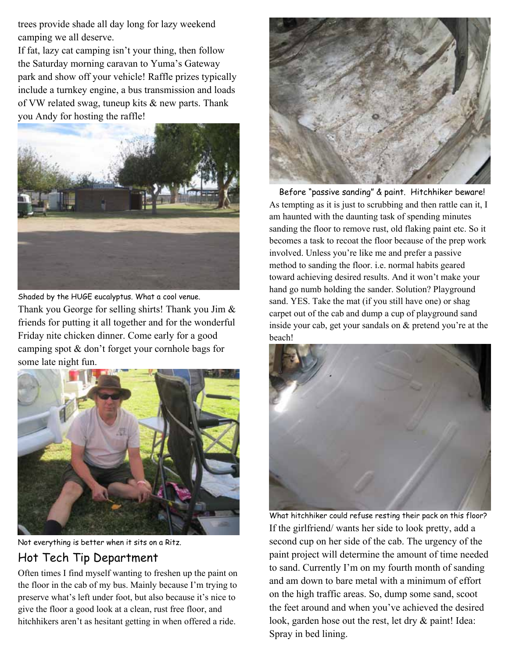trees provide shade all day long for lazy weekend camping we all deserve.

If fat, lazy cat camping isn't your thing, then follow the Saturday morning caravan to Yuma's Gateway park and show off your vehicle! Raffle prizes typically include a turnkey engine, a bus transmission and loads of VW related swag, tuneup kits & new parts. Thank you Andy for hosting the raffle!



Shaded by the HUGE eucalyptus. What a cool venue. Thank you George for selling shirts! Thank you Jim & friends for putting it all together and for the wonderful Friday nite chicken dinner. Come early for a good camping spot & don't forget your cornhole bags for some late night fun.



Not everything is better when it sits on a Ritz. Hot Tech Tip Department

Often times I find myself wanting to freshen up the paint on the floor in the cab of my bus. Mainly because I'm trying to preserve what's left under foot, but also because it's nice to give the floor a good look at a clean, rust free floor, and hitchhikers aren't as hesitant getting in when offered a ride.



 Before "passive sanding" & paint. Hitchhiker beware! As tempting as it is just to scrubbing and then rattle can it, I am haunted with the daunting task of spending minutes sanding the floor to remove rust, old flaking paint etc. So it becomes a task to recoat the floor because of the prep work involved. Unless you're like me and prefer a passive method to sanding the floor. i.e. normal habits geared toward achieving desired results. And it won't make your hand go numb holding the sander. Solution? Playground sand. YES. Take the mat (if you still have one) or shag carpet out of the cab and dump a cup of playground sand inside your cab, get your sandals on & pretend you're at the beach!



What hitchhiker could refuse resting their pack on this floor? If the girlfriend/ wants her side to look pretty, add a second cup on her side of the cab. The urgency of the paint project will determine the amount of time needed to sand. Currently I'm on my fourth month of sanding and am down to bare metal with a minimum of effort on the high traffic areas. So, dump some sand, scoot the feet around and when you've achieved the desired look, garden hose out the rest, let dry & paint! Idea: Spray in bed lining.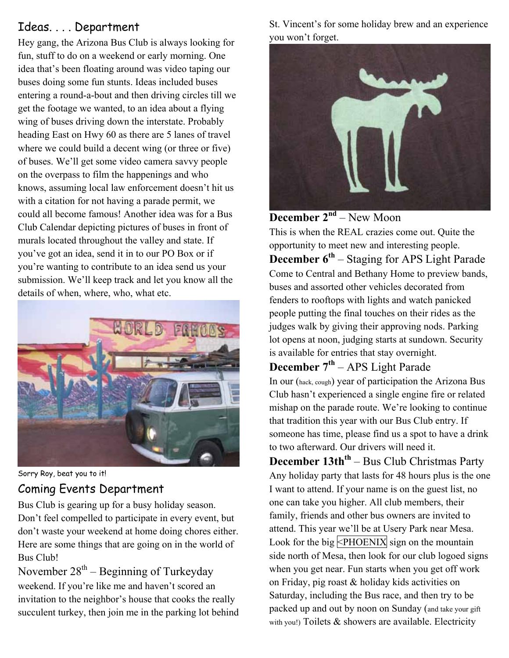#### Ideas. . . . Department

Hey gang, the Arizona Bus Club is always looking for fun, stuff to do on a weekend or early morning. One idea that's been floating around was video taping our buses doing some fun stunts. Ideas included buses entering a round-a-bout and then driving circles till we get the footage we wanted, to an idea about a flying wing of buses driving down the interstate. Probably heading East on Hwy 60 as there are 5 lanes of travel where we could build a decent wing (or three or five) of buses. We'll get some video camera savvy people on the overpass to film the happenings and who knows, assuming local law enforcement doesn't hit us with a citation for not having a parade permit, we could all become famous! Another idea was for a Bus Club Calendar depicting pictures of buses in front of murals located throughout the valley and state. If you've got an idea, send it in to our PO Box or if you're wanting to contribute to an idea send us your submission. We'll keep track and let you know all the details of when, where, who, what etc.



Sorry Roy, beat you to it!

### Coming Events Department

Bus Club is gearing up for a busy holiday season. Don't feel compelled to participate in every event, but don't waste your weekend at home doing chores either. Here are some things that are going on in the world of Bus Club!

November  $28^{th}$  – Beginning of Turkeyday weekend. If you're like me and haven't scored an invitation to the neighbor's house that cooks the really succulent turkey, then join me in the parking lot behind St. Vincent's for some holiday brew and an experience you won't forget.



#### **December 2<sup>nd</sup>** – New Moon

This is when the REAL crazies come out. Quite the opportunity to meet new and interesting people. **December 6<sup>th</sup>** – Staging for APS Light Parade Come to Central and Bethany Home to preview bands, buses and assorted other vehicles decorated from fenders to rooftops with lights and watch panicked people putting the final touches on their rides as the judges walk by giving their approving nods. Parking lot opens at noon, judging starts at sundown. Security is available for entries that stay overnight.

**December 7th** – APS Light Parade

In our (hack, cough) year of participation the Arizona Bus Club hasn't experienced a single engine fire or related mishap on the parade route. We're looking to continue that tradition this year with our Bus Club entry. If someone has time, please find us a spot to have a drink to two afterward. Our drivers will need it.

**December 13th<sup>th</sup>** – Bus Club Christmas Party Any holiday party that lasts for 48 hours plus is the one I want to attend. If your name is on the guest list, no one can take you higher. All club members, their family, friends and other bus owners are invited to attend. This year we'll be at Usery Park near Mesa. Look for the big  $\leq$ PHOENIX sign on the mountain side north of Mesa, then look for our club logoed signs when you get near. Fun starts when you get off work on Friday, pig roast & holiday kids activities on Saturday, including the Bus race, and then try to be packed up and out by noon on Sunday (and take your gift with you!) Toilets & showers are available. Electricity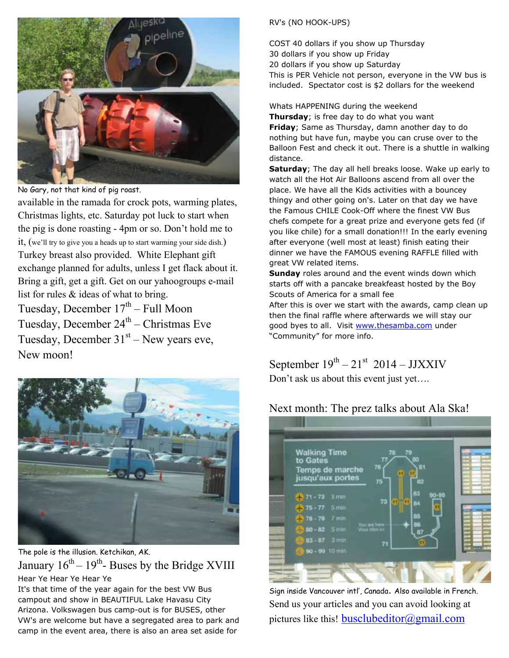

No Gary, not that kind of pig roast.

available in the ramada for crock pots, warming plates, Christmas lights, etc. Saturday pot luck to start when the pig is done roasting - 4pm or so. Don't hold me to it, (we'll try to give you a heads up to start warming your side dish.) Turkey breast also provided. White Elephant gift exchange planned for adults, unless I get flack about it. Bring a gift, get a gift. Get on our yahoogroups e-mail list for rules & ideas of what to bring. Tuesday, December  $17<sup>th</sup>$  – Full Moon

Tuesday, December  $24<sup>th</sup>$  – Christmas Eve Tuesday, December  $31<sup>st</sup>$  – New years eve, New moon!



The pole is the illusion. Ketchikan, AK. January  $16^{th} - 19^{th}$ - Buses by the Bridge XVIII Hear Ye Hear Ye Hear Ye

It's that time of the year again for the best VW Bus campout and show in BEAUTIFUL Lake Havasu City Arizona. Volkswagen bus camp-out is for BUSES, other VW's are welcome but have a segregated area to park and camp in the event area, there is also an area set aside for

#### RV's (NO HOOK-UPS)

COST 40 dollars if you show up Thursday 30 dollars if you show up Friday 20 dollars if you show up Saturday This is PER Vehicle not person, everyone in the VW bus is included. Spectator cost is \$2 dollars for the weekend

Whats HAPPENING during the weekend

**Thursday**; is free day to do what you want **Friday**; Same as Thursday, damn another day to do nothing but have fun, maybe you can cruse over to the Balloon Fest and check it out. There is a shuttle in walking distance.

**Saturday**; The day all hell breaks loose. Wake up early to watch all the Hot Air Balloons ascend from all over the place. We have all the Kids activities with a bouncey thingy and other going on's. Later on that day we have the Famous CHILE Cook-Off where the finest VW Bus chefs compete for a great prize and everyone gets fed (if you like chile) for a small donation!!! In the early evening after everyone (well most at least) finish eating their dinner we have the FAMOUS evening RAFFLE filled with great VW related items.

**Sunday** roles around and the event winds down which starts off with a pancake breakfeast hosted by the Boy Scouts of America for a small fee

After this is over we start with the awards, camp clean up then the final raffle where afterwards we will stay our good byes to all. Visit www.thesamba.com under "Community" for more info.

## September  $19^{th} - 21^{st}$  2014 – JJXXIV

Don't ask us about this event just yet….

#### Next month: The prez talks about Ala Ska!



Sign inside Vancouver intl', Canada. Also available in French. Send us your articles and you can avoid looking at pictures like this! busclubeditor@gmail.com